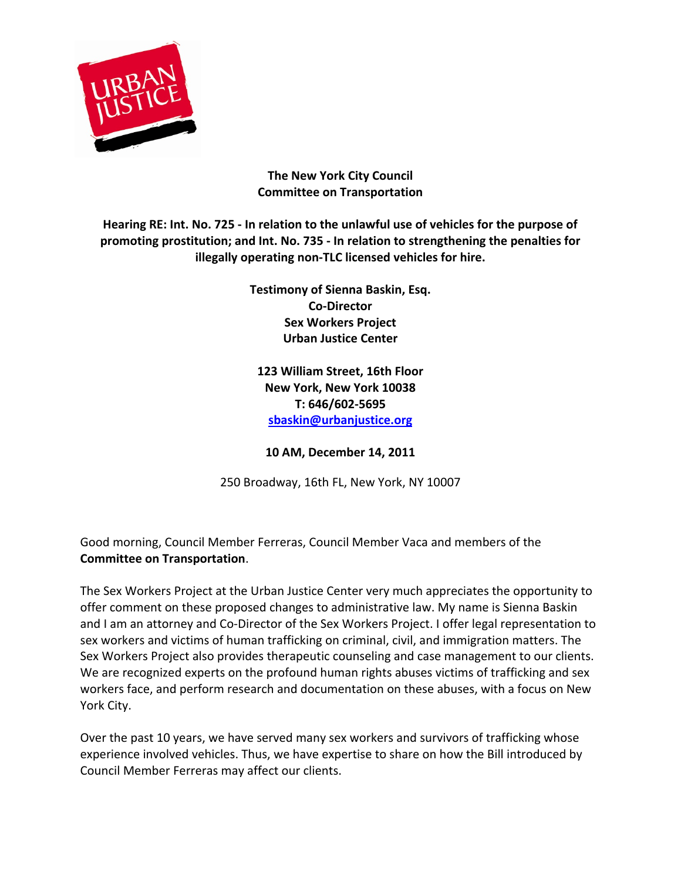

## **The New York City Council Committee on Transportation**

Hearing RE: Int. No. 725 - In relation to the unlawful use of vehicles for the purpose of promoting prostitution; and Int. No. 735 - In relation to strengthening the penalties for **illegally operating non-TLC licensed vehicles for hire.**

> **Testimony of Sienna Baskin, Esq. Co-Director Sex Workers Project Urban Justice Center**

**123 William Street, 16th Floor New York, New York 10038 T: 646/602-5695 sbaskin@urbanjustice.org**

**10 AM, December 14, 2011**

250 Broadway, 16th FL, New York, NY 10007

Good morning, Council Member Ferreras, Council Member Vaca and members of the **Committee on Transportation.** 

The Sex Workers Project at the Urban Justice Center very much appreciates the opportunity to offer comment on these proposed changes to administrative law. My name is Sienna Baskin and I am an attorney and Co-Director of the Sex Workers Project. I offer legal representation to sex workers and victims of human trafficking on criminal, civil, and immigration matters. The Sex Workers Project also provides therapeutic counseling and case management to our clients. We are recognized experts on the profound human rights abuses victims of trafficking and sex workers face, and perform research and documentation on these abuses, with a focus on New York City.

Over the past 10 years, we have served many sex workers and survivors of trafficking whose experience involved vehicles. Thus, we have expertise to share on how the Bill introduced by Council Member Ferreras may affect our clients.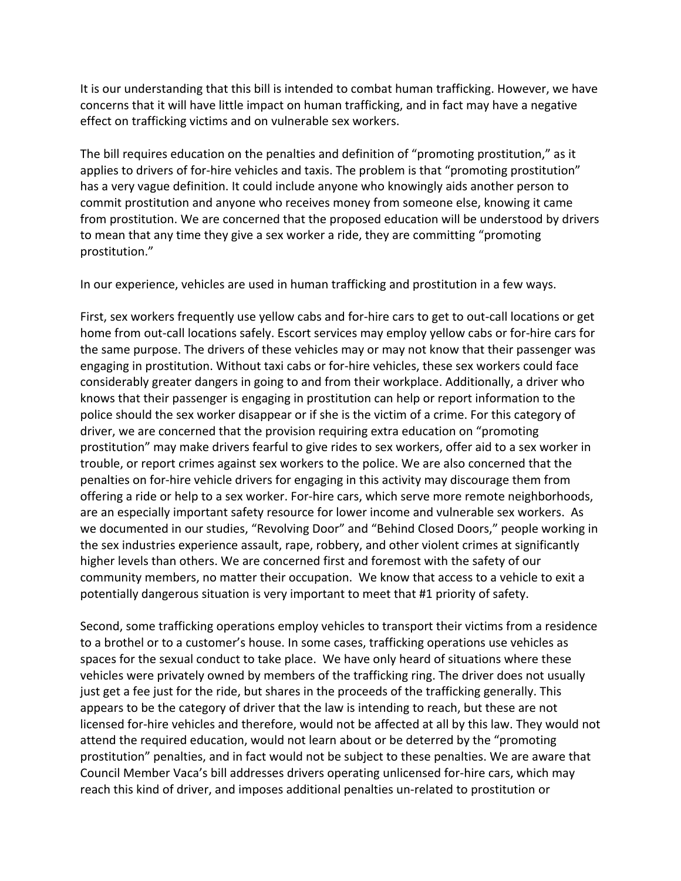It is our understanding that this bill is intended to combat human trafficking. However, we have concerns that it will have little impact on human trafficking, and in fact may have a negative effect on trafficking victims and on vulnerable sex workers.

The bill requires education on the penalties and definition of "promoting prostitution," as it applies to drivers of for-hire vehicles and taxis. The problem is that "promoting prostitution" has a very vague definition. It could include anyone who knowingly aids another person to commit prostitution and anyone who receives money from someone else, knowing it came from prostitution. We are concerned that the proposed education will be understood by drivers to mean that any time they give a sex worker a ride, they are committing "promoting prostitution." 

In our experience, vehicles are used in human trafficking and prostitution in a few ways.

First, sex workers frequently use yellow cabs and for-hire cars to get to out-call locations or get home from out-call locations safely. Escort services may employ yellow cabs or for-hire cars for the same purpose. The drivers of these vehicles may or may not know that their passenger was engaging in prostitution. Without taxi cabs or for-hire vehicles, these sex workers could face considerably greater dangers in going to and from their workplace. Additionally, a driver who knows that their passenger is engaging in prostitution can help or report information to the police should the sex worker disappear or if she is the victim of a crime. For this category of driver, we are concerned that the provision requiring extra education on "promoting prostitution" may make drivers fearful to give rides to sex workers, offer aid to a sex worker in trouble, or report crimes against sex workers to the police. We are also concerned that the penalties on for-hire vehicle drivers for engaging in this activity may discourage them from offering a ride or help to a sex worker. For-hire cars, which serve more remote neighborhoods, are an especially important safety resource for lower income and vulnerable sex workers. As we documented in our studies, "Revolving Door" and "Behind Closed Doors," people working in the sex industries experience assault, rape, robbery, and other violent crimes at significantly higher levels than others. We are concerned first and foremost with the safety of our community members, no matter their occupation. We know that access to a vehicle to exit a potentially dangerous situation is very important to meet that #1 priority of safety.

Second, some trafficking operations employ vehicles to transport their victims from a residence to a brothel or to a customer's house. In some cases, trafficking operations use vehicles as spaces for the sexual conduct to take place. We have only heard of situations where these vehicles were privately owned by members of the trafficking ring. The driver does not usually just get a fee just for the ride, but shares in the proceeds of the trafficking generally. This appears to be the category of driver that the law is intending to reach, but these are not licensed for-hire vehicles and therefore, would not be affected at all by this law. They would not attend the required education, would not learn about or be deterred by the "promoting prostitution" penalties, and in fact would not be subject to these penalties. We are aware that Council Member Vaca's bill addresses drivers operating unlicensed for-hire cars, which may reach this kind of driver, and imposes additional penalties un-related to prostitution or